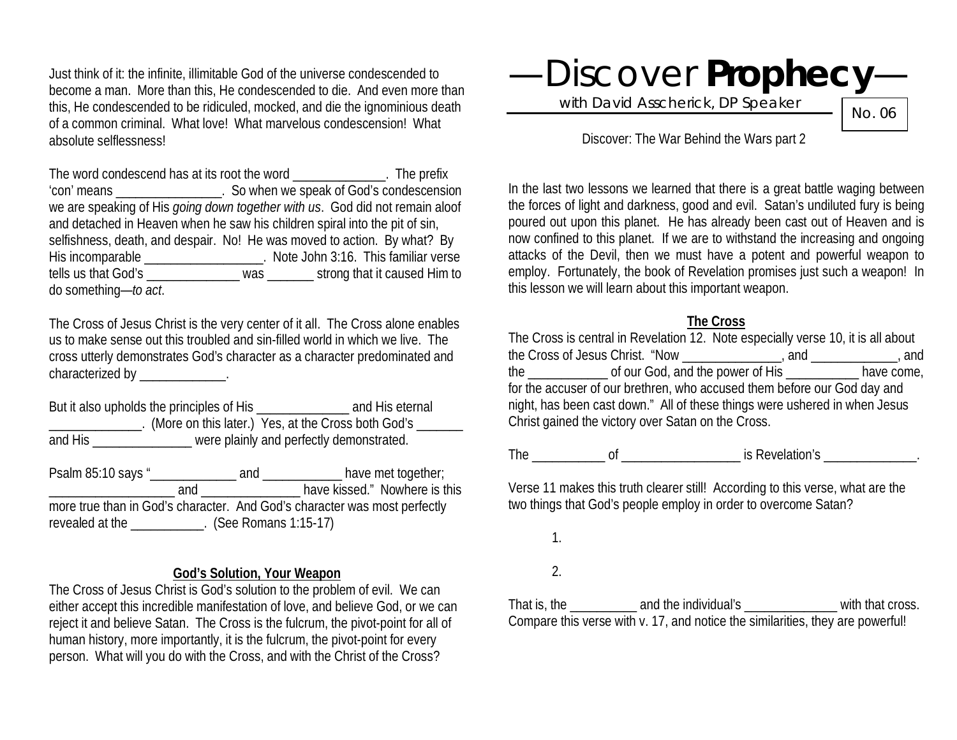Just think of it: the infinite, illimitable God of the universe condescended to become a man. More than this, He condescended to die. And even more than this, He condescended to be ridiculed, mocked, and die the ignominious death of a common criminal. What love! What marvelous condescension! What absolute selflessness!

The word condescend has at its root the word **Example 20** Fine prefix 'con' means \_\_\_\_\_\_\_\_\_\_\_\_\_\_\_\_. So when we speak of God's condescension we are speaking of His *going down together with us*. God did not remain aloof and detached in Heaven when he saw his children spiral into the pit of sin, selfishness, death, and despair. No! He was moved to action. By what? By His incomparable \_\_\_\_\_\_\_\_\_\_\_\_\_\_\_\_\_\_. Note John 3:16. This familiar verse tells us that God's \_\_\_\_\_\_\_\_\_\_\_\_\_\_ was \_\_\_\_\_\_\_ strong that it caused Him to do something—*to act*.

The Cross of Jesus Christ is the very center of it all. The Cross alone enables us to make sense out this troubled and sin-filled world in which we live. The cross utterly demonstrates God's character as a character predominated and characterized by \_\_\_\_\_\_\_\_\_\_\_\_\_.

But it also upholds the principles of His \_\_\_\_\_\_\_\_\_\_\_\_\_\_\_\_\_\_ and His eternal \_\_\_\_\_\_\_\_\_\_\_\_\_\_. (More on this later.) Yes, at the Cross both God's \_\_\_\_\_\_\_ and His \_\_\_\_\_\_\_\_\_\_\_\_\_\_\_\_\_ were plainly and perfectly demonstrated.

Psalm 85:10 says "\_\_\_\_\_\_\_\_\_\_\_\_\_\_\_\_ and \_\_\_\_\_\_\_\_\_\_\_\_\_\_ have met together; \_\_\_\_\_\_\_\_\_\_\_\_\_\_\_\_\_\_\_ and \_\_\_\_\_\_\_\_\_\_\_\_\_\_\_ have kissed." Nowhere is this more true than in God's character. And God's character was most perfectly revealed at the \_\_\_\_\_\_\_\_\_\_\_. (See Romans 1:15-17)

#### **God's Solution, Your Weapon**

The Cross of Jesus Christ is God's solution to the problem of evil. We can either accept this incredible manifestation of love, and believe God, or we can reject it and believe Satan. The Cross is the fulcrum, the pivot-point for all of human history, more importantly, it is the fulcrum, the pivot-point for every person. What will you do with the Cross, and with the Christ of the Cross?



with David Asscherick, DP Speaker

No. 06

Discover: The War Behind the Wars part 2

In the last two lessons we learned that there is a great battle waging between the forces of light and darkness, good and evil. Satan's undiluted fury is being poured out upon this planet. He has already been cast out of Heaven and is now confined to this planet. If we are to withstand the increasing and ongoing attacks of the Devil, then we must have a potent and powerful weapon to employ. Fortunately, the book of Revelation promises just such a weapon! In this lesson we will learn about this important weapon.

#### **The Cross**

The Cross is central in Revelation 12. Note especially verse 10, it is all about the Cross of Jesus Christ. "Now \_\_\_\_\_\_\_\_\_\_\_\_\_\_\_, and \_\_\_\_\_\_\_\_\_\_\_\_\_, and the \_\_\_\_\_\_\_\_\_\_\_\_ of our God, and the power of His \_\_\_\_\_\_\_\_\_\_\_ have come, for the accuser of our brethren, who accused them before our God day and night, has been cast down." All of these things were ushered in when Jesus Christ gained the victory over Satan on the Cross.

The \_\_\_\_\_\_\_\_\_\_\_ of \_\_\_\_\_\_\_\_\_\_\_\_\_\_\_\_\_\_ is Revelation's \_\_\_\_\_\_\_\_\_\_\_\_\_\_.

Verse 11 makes this truth clearer still! According to this verse, what are the two things that God's people employ in order to overcome Satan?

1.

2.

That is, the and the individual's with that cross. Compare this verse with v. 17, and notice the similarities, they are powerful!